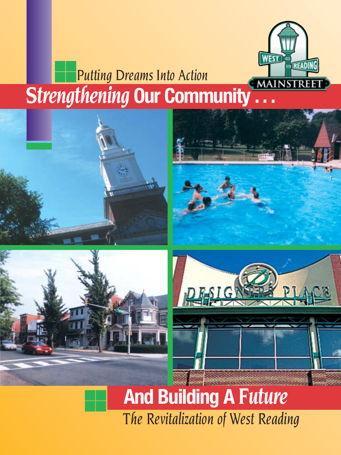

### ■■ ■■ **Strengthening Our Community ...** *Putting Dreams Into Action*









#### ■■ ■■ *The Revitalization of West Reading* **And Building A** *Future*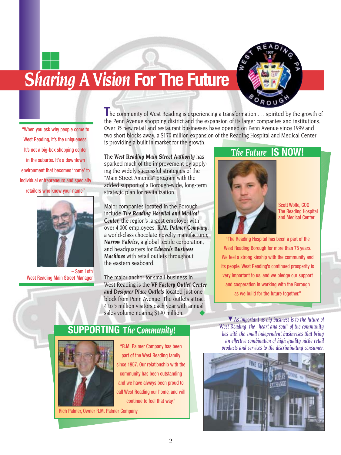# **Sharing A Vision For The Future**



"When you ask why people come to West Reading, it's the uniqueness. It's not a big-box shopping center in the suburbs. It's a downtown environment that becomes 'home' to individual entrepreneurs and specialty retailers who know your name."

■■ ■■



– Sam Loth West Reading Main Street Manager

**T**he community of West Reading is experiencing a transformation . . . spirited by the growth of the Penn Avenue shopping district and the expansion of its larger companies and institutions. Over 35 new retail and restaurant businesses have opened on Penn Avenue since 1999 and two short blocks away, a \$170 million expansion of the Reading Hospital and Medical Center is providing a built in market for the growth.

The *West Reading Main Street Authority* has sparked much of the improvement by applying the widely successful strategies of the "Main Street America" program with the added support of a Borough-wide, long-term strategic plan for revitalization.

Major companies located in the Borough include *The Reading Hospital and Medical Center,* the region's largest employer with over 4,000 employees, *R.M. Palmer Company,*  a world-class chocolate novelty manufacturer, *Narrow Fabrics,* a global textile corporation, and headquarters for *Edwards Business Machines* with retail outlets throughout the eastern seaboard.

The major anchor for small business in West Reading is the *VF Factory Outlet Center and Designer Place Outlets* located just one block from Penn Avenue. The outlets attract 4 to 5 million visitors each year with annual sales volume nearing \$190 million.

#### *The Future* **IS NOW!**



Scott Wolfe, COO The Reading Hospital and Medical Center

"The Reading Hospital has been a part of the West Reading Borough for more than 75 years. We feel a strong kinship with the community and its people. West Reading's continued prosperity is very important to us, and we pledge our support and cooperation in working with the Borough as we build for the future together."

### **SUPPORTING** *The Community!*



"R.M. Palmer Company has been part of the West Reading family since 1957. Our relationship with the community has been outstanding and we have always been proud to call West Reading our home, and will continue to feel that way."

Rich Palmer, Owner R.M. Palmer Company

▼ As important as big business is to the future of *West Reading, the "heart and soul" of the community lies with the small independent businesses that bring an effective combination of high quality niche retail products and services to the discriminating consumer.*

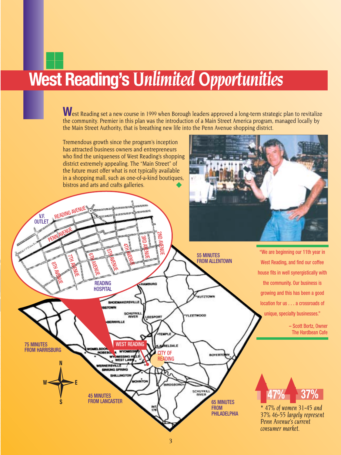## **West Reading's** *Unlimited Opportunities* ■■

■■

West Reading set a new course in 1999 when Borough leaders approved a long-term strategic plan to revitalize the community. Premier in this plan was the introduction of a Main Street America program, managed locally by the Main Street Authority, that is breathing new life into the Penn Avenue shopping district.

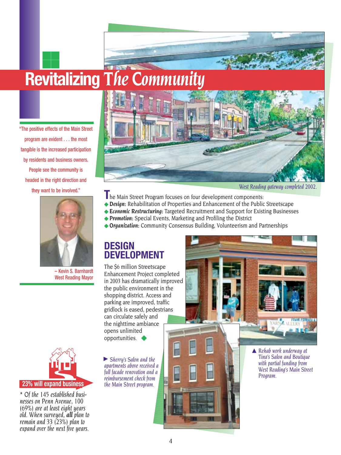## **Revitalizing** *The Community* ■■

"The positive effects of the Main Street program are evident . . . the most tangible is the increased participation by residents and business owners. People see the community is headed in the right direction and they want to be involved."

■■



– Kevin S. Barnhardt West Reading Mayor



*\* Of the 145 established businesses on Penn Avenue, 100 (69%) are at least eight years old. When surveyed, all plan to remain and 33 (23%) plan to expand over the next five years.*



*West Reading gateway completed 2002.*

- **T**he Main Street Program focuses on four development components:
- ◆ *Design*: Rehabilitation of Properties and Enhancement of the Public Streetscape
- ◆ *Economic Restructuring*: Targeted Recruitment and Support for Existing Businesses
- ◆ Promotion: Special Events, Marketing and Profiling the District
- ◆ **Organization:** Community Consensus Building, Volunteerism and Partnerships

### **DESIGN DEVELOPMENT**

The \$6 million Streetscape Enhancement Project completed in 2003 has dramatically improved the public environment in the shopping district. Access and parking are improved, traffic gridlock is eased, pedestrians can circulate safely and the nighttime ambiance opens unlimited opportunities.

▶ Sherry's Salon and the *apartments above received a full facade renovation and a reimbursement check from the Main Street program.*



*Tina's Salon and Boutique with partial funding from West Reading's Main Street Program.*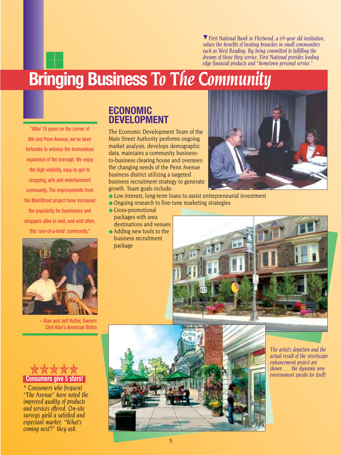*First National Bank in Fleetwood, a 69-year old institution,* ▲ *values the benefits of locating branches in small communities such as West Reading. By being committed to fulfilling the dreams of those they service, First National provides leading edge financial products and "hometown personal service."*

## **Bringing Business** *To The Community*

"After 15 years on the corner of 6th and Penn Avenue, we've been fortunate to witness the tremendous expansion of the borough. We enjoy the high visibility, easy-to-get-to shopping, arts and entertainment community. The improvements from the MainStreet project have increased the popularity for businesses and shoppers alike to visit, and visit often, this 'one-of-a-kind' community."

■■ ■■



The Economic Development Team of the Main Street Authority performs ongoing market analysis, develops demographic data, maintains a community businessto-business clearing house and oversees the changing needs of the Penn Avenue business district utilizing a targeted business recruitment strategy to generate growth. Team goals include:

- ◆ Low interest, long-term loans to assist entrepreneurial investment
- ◆ Ongoing research to fine-tune marketing strategies
- ◆ Cross-promotional packages with area destinations and venues
- ◆ Adding new tools to the business recruitment package







– Alan and Jeff Rutter, Owners Chef Alan's American Bistro



*\* Consumers who frequent "The Avenue" have noted the improved quality of products and services offered. On-site surveys yield a satisfied and expectant market. "What's coming next?" they ask.*



*The artist's depiction and the actual result of the streetscape enhancement project are shown . . . the dynamic new environment speaks for itself!*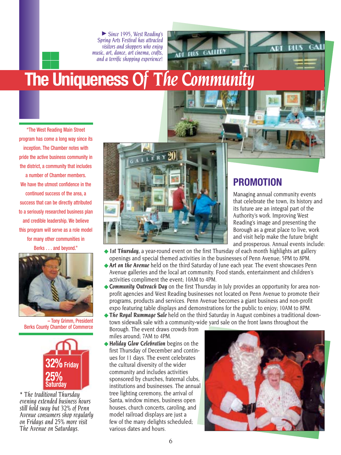*Since 1995, West Reading's*  ▲ *Spring Arts Festival has attracted visitors and shoppers who enjoy music, art, dance, art cinema, crafts, and a terrific shopping experience!*

# **The Uniqueness** *Of The Community*

"The West Reading Main Street program has come a long way since its inception. The Chamber notes with pride the active business community in the district, a community that includes a number of Chamber members. We have the utmost confidence in the continued success of the area, a success that can be directly attributed to a seriously researched business plan and credible leadership. We believe this program will serve as a role model for many other communities in Berks . . . and beyond."

■■ ■■



– Tony Grimm, President Berks County Chamber of Commerce



*\* The traditional Thursday evening extended business hours still hold sway but 32% of Penn Avenue consumers shop regularly on Fridays and 25% more visit The Avenue on Saturdays.*



### **PROMOTION**

Managing annual community events that celebrate the town, its history and its future are an integral part of the Authority's work. Improving West Reading's image and presenting the Borough as a great place to live, work and visit help make the future bright and prosperous. Annual events include:

GA

DIUS

◆ 1st Thursday, a year-round event on the first Thursday of each month highlights art gallery openings and special themed activities in the businesses of Penn Avenue; 5PM to 8PM.

**GALLED** 

**PILS** 

ADI

- ◆**Art on the Avenue** held on the third Saturday of June each year. The event showcases Penn Avenue galleries and the local art community. Food stands, entertainment and children's activities compliment the event; 10AM to 4PM.
- ◆ **Community Outreach Day** on the first Thursday in July provides an opportunity for area nonprofit agencies and West Reading businesses not located on Penn Avenue to promote their programs, products and services. Penn Avenue becomes a giant business and non-profit expo featuring table displays and demonstrations for the public to enjoy; 10AM to 8PM.
- ◆ The Royal Rummage Sale held on the third Saturday in August combines a traditional downtown sidewalk sale with a community-wide yard sale on the front lawns throughout the

Borough. The event draws crowds from miles around; 7AM to 4PM.

◆**Holiday Glow Celebration** begins on the first Thursday of December and continues for 11 days. The event celebrates the cultural diversity of the wider community and includes activities sponsored by churches, fraternal clubs, institutions and businesses. The annual tree lighting ceremony, the arrival of Santa, window mimes, business open houses, church concerts, caroling, and model railroad displays are just a few of the many delights scheduled; various dates and hours.